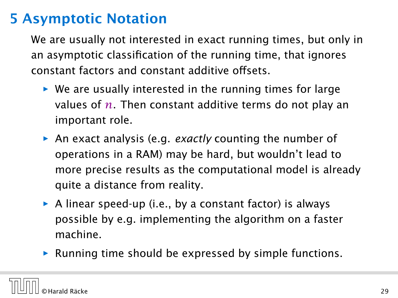We are usually not interested in exact running times, but only in an asymptotic classification of the running time, that ignores constant factors and constant additive offsets.

- **▶ We are usually interested in the running times for large** values of *n*. Then constant additive terms do not play an important role.
- **►** An exact analysis (e.g. *exactly* counting the number of operations in a RAM) may be hard, but wouldn't lead to more precise results as the computational model is already quite a distance from reality.
- ▶ A linear speed-up (i.e., by a constant factor) is always possible by e.g. implementing the algorithm on a faster machine.
- $\triangleright$  Running time should be expressed by simple functions.

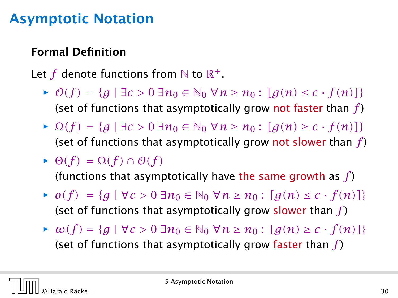### Formal Definition

### Let  $f$  denote functions from  $\mathbb N$  to  $\mathbb R^+$ .

- $\rightarrow$  *O*(*f*) = {*g* | ∃*c* > 0 ∃*n*<sub>0</sub> ∈ N<sub>0</sub> ∀*n* ≥ *n*<sub>0</sub> : [*g*(*n*) ≤ *c* · *f*(*n*)]} (set of functions that asymptotically grow not faster than *f* )
- $\rightarrow$  Ω(f) = {*g* | ∃*c* > 0 ∃*n*<sub>0</sub> ∈ N<sub>0</sub> ∀*n* ≥ *n*<sub>0</sub> : [*g*(*n*) ≥ *c* · *f*(*n*)]} (set of functions that asymptotically grow not slower than *f* )
- $\blacktriangleright$   $\Theta(f) = \Omega(f) \cap \mathcal{O}(f)$ (functions that asymptotically have the same growth as *f* )
- $\rightarrow$  *o*(*f*) = {*g* | ∀*c* > 0 ∃*n*<sub>0</sub> ∈ N<sub>0</sub> ∀*n* ≥ *n*<sub>0</sub> : [*g*(*n*) ≤ *c* · *f*(*n*)]} (set of functions that asymptotically grow slower than *f* )
- $\triangleright$  *ω*(*f*) = { $g | \forall c > 0$  ∃ $n_0 \in \mathbb{N}_0$  ∀ $n \ge n_0$  : [ $g(n) \ge c \cdot f(n)$ ]} (set of functions that asymptotically grow faster than *f* )

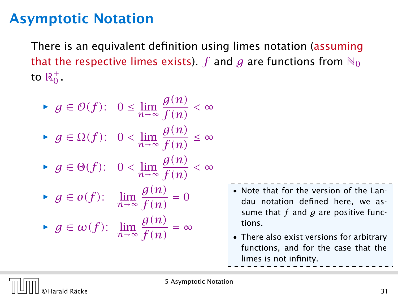There is an equivalent definition using limes notation (assuming that the respective limes exists). *f* and *g* are functions from  $\aleph_0$ to  $\mathbb{R}^+_0$ .

\n- ▶ 
$$
g \in \mathcal{O}(f)
$$
:  $0 \leq \lim_{n \to \infty} \frac{g(n)}{f(n)} < \infty$
\n- ▶  $g \in \Omega(f)$ :  $0 < \lim_{n \to \infty} \frac{g(n)}{f(n)} \leq \infty$
\n- ▶  $g \in \Theta(f)$ :  $0 < \lim_{n \to \infty} \frac{g(n)}{f(n)} < \infty$
\n- ▶  $g \in o(f)$ :  $\lim_{n \to \infty} \frac{g(n)}{f(n)} = 0$
\n- ▶  $g \in \omega(f)$ :  $\lim_{n \to \infty} \frac{g(n)}{f(n)} = \infty$
\n

• Note that for the version of the Landau notation defined here, we assume that *f* and *g* are positive functions. • There also exist versions for arbitrary functions, and for the case that the

limes is not infinity.



5 Asymptotic Notation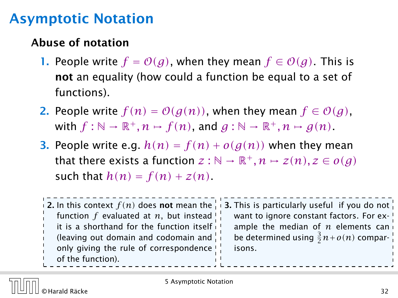### Abuse of notation

- 1. People write  $f = O(g)$ , when they mean  $f \in O(g)$ . This is not an equality (how could a function be equal to a set of functions).
- 2. People write  $f(n) = O(g(n))$ , when they mean  $f \in O(g)$ , with  $f : \mathbb{N} \to \mathbb{R}^+, n \mapsto f(n)$ , and  $g : \mathbb{N} \to \mathbb{R}^+, n \mapsto g(n)$ .
- **3.** People write e.g.  $h(n) = f(n) + o(g(n))$  when they mean that there exists a function  $z : \mathbb{N} \to \mathbb{R}^+, n \mapsto z(n), z \in o(g)$ such that  $h(n) = f(n) + z(n)$ .

|  |                                               | 12. In this context $f(n)$ does not mean the 1.13. This is particularly useful if you do not |
|--|-----------------------------------------------|----------------------------------------------------------------------------------------------|
|  | function $f$ evaluated at $n$ , but instead ! | want to ignore constant factors. For ex- !                                                   |
|  | it is a shorthand for the function itself     | ample the median of $n$ elements can                                                         |
|  | (leaving out domain and codomain and          | be determined using $\frac{3}{2}n + o(n)$ compar-                                            |
|  | only giving the rule of correspondence!       | isons.                                                                                       |
|  | of the function).                             |                                                                                              |
|  |                                               |                                                                                              |

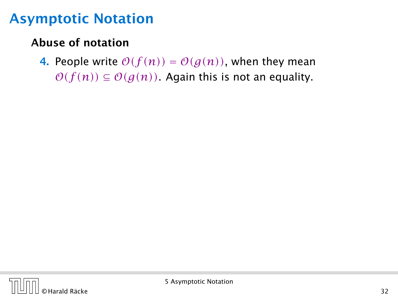### Abuse of notation

4. People write  $O(f(n)) = O(g(n))$ , when they mean  $O(f(n)) \subseteq O(g(n))$ . Again this is not an equality.

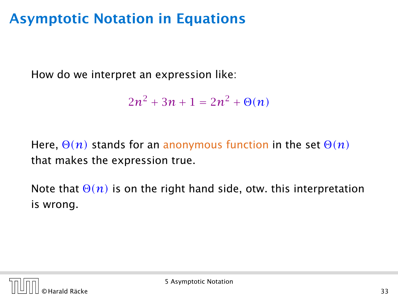How do we interpret an expression like:

$$
2n^2 + 3n + 1 = 2n^2 + \Theta(n)
$$

Here, Θ*(n)* stands for an anonymous function in the set Θ*(n)* that makes the expression true.

Note that  $\Theta(n)$  is on the right hand side, otw. this interpretation is wrong.

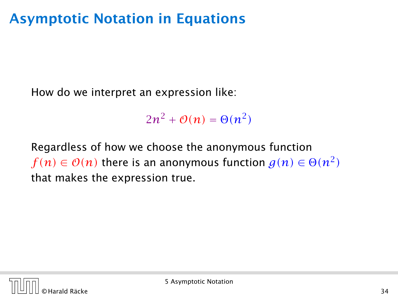How do we interpret an expression like:

 $2n^2 + \mathcal{O}(n) = \Theta(n^2)$ 

Regardless of how we choose the anonymous function  $f(n)\in\mathcal{O}(n)$  there is an anonymous function  $g(n)\in\Theta(n^2)$ that makes the expression true.

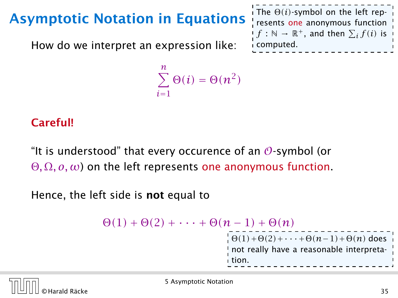How do we interpret an expression like:

```
\sum_{i=1}^{n} \Theta(i) = \Theta(n^2)i=1
```
#### Careful!

"It is understood" that every occurence of an  $\mathcal O$ -symbol (or Θ*,* Ω*, o, ω*) on the left represents one anonymous function.

Hence, the left side is not equal to

 $\Theta(1) + \Theta(2) + \cdots + \Theta(n-1) + \Theta(n)$  $\frac{1}{\Theta(1)}$ + $\Theta(2)$ +···+ $\Theta(n-1)$ + $\Theta(n)$  does I not really have a reasonable interpretation.



The  $\Theta(i)$ -symbol on the left represents one anonymous function  $f : \mathbb{N} \to \mathbb{R}^+$ , and then  $\sum_i f(i)$  is

computed.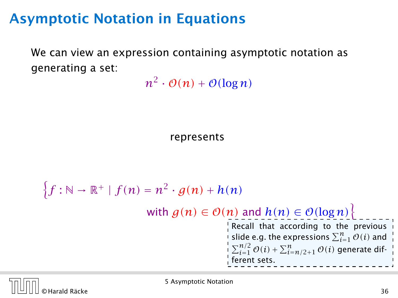We can view an expression containing asymptotic notation as generating a set:

 $n^2 \cdot \mathcal{O}(n) + \mathcal{O}(\log n)$ 

represents

n *f* : N → R<sup>+</sup> | *f (n)* = *n* 2 · *g(n)* + *h(n)* with *g(n)* ∈ O*(n)* and *h(n)* ∈ O*(*log *n)*o Recall that according to the previous slide e.g. the expressions P*<sup>n</sup> <sup>i</sup>*=<sup>1</sup> O*(i)* and P*n/*<sup>2</sup> *<sup>i</sup>*=<sup>1</sup> O*(i)* + P*<sup>n</sup> <sup>i</sup>*=*n/*2+<sup>1</sup> O*(i)* generate different sets.



5 Asymptotic Notation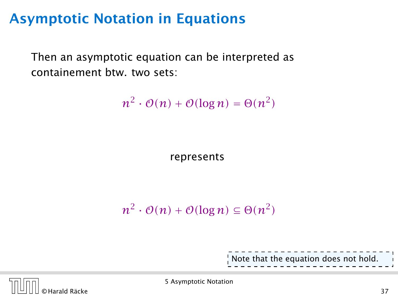Then an asymptotic equation can be interpreted as containement btw. two sets:

 $n^2 \cdot \mathcal{O}(n) + \mathcal{O}(\log n) = \Theta(n^2)$ 

represents

$$
n^2 \cdot \mathcal{O}(n) + \mathcal{O}(\log n) \subseteq \Theta(n^2)
$$

Note that the equation does not hold.



5 Asymptotic Notation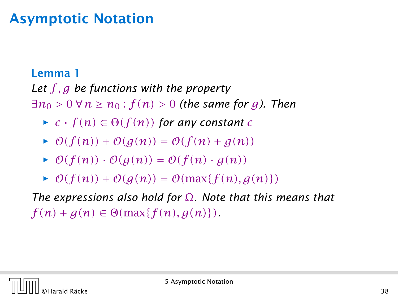#### Lemma 1

*Let f , g be functions with the property*

∃ $n_0$  > 0 ∀ $n \ge n_0$  :  $f(n)$  > 0 (the same for g). Then

- $\blacktriangleright$  *c* · *f*(*n*)  $\in \Theta(f(n))$  *for any constant c*
- $\rightarrow$   $\mathcal{O}(f(n)) + \mathcal{O}(g(n)) = \mathcal{O}(f(n) + g(n))$
- $\rightarrow$   $\mathcal{O}(f(n)) \cdot \mathcal{O}(q(n)) = \mathcal{O}(f(n) \cdot g(n))$
- $\rightarrow$   $\mathcal{O}(f(n)) + \mathcal{O}(g(n)) = \mathcal{O}(\max\{f(n), g(n)\})$

*The expressions also hold for* Ω*. Note that this means that*  $f(n) + g(n) \in \Theta(\max\{f(n), g(n)\})$ .

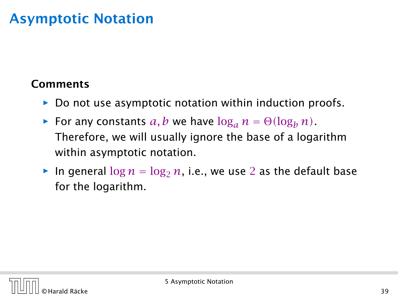### **Comments**

- **►** Do not use asymptotic notation within induction proofs.
- **For any constants**  $a, b$  we have  $\log_a n = \Theta(\log_b n)$ . Therefore, we will usually ignore the base of a logarithm within asymptotic notation.
- $\triangleright$  In general  $\log n = \log_2 n$ , i.e., we use 2 as the default base for the logarithm.

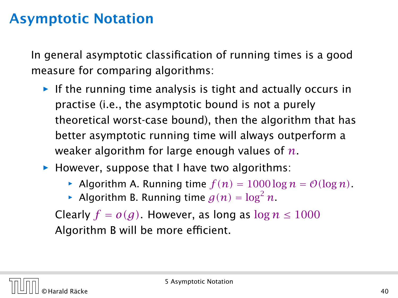In general asymptotic classification of running times is a good measure for comparing algorithms:

- **Follo** If the running time analysis is tight and actually occurs in practise (i.e., the asymptotic bound is not a purely theoretical worst-case bound), then the algorithm that has better asymptotic running time will always outperform a weaker algorithm for large enough values of *n*.
- **However, suppose that I have two algorithms:** 
	- Algorithm A. Running time  $f(n) = 1000 \log n = O(\log n)$ .
	- Algorithm B. Running time  $g(n) = \log^2 n$ .

Clearly  $f = o(g)$ . However, as long as  $\log n \le 1000$ Algorithm B will be more efficient.